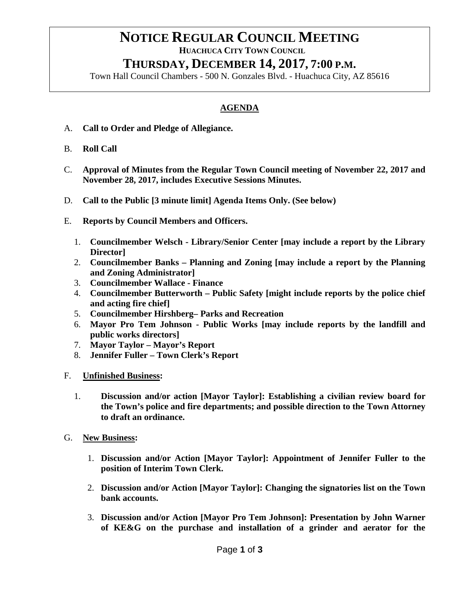# **NOTICE REGULAR COUNCIL MEETING**<br>HUACHUCA CITY TOWN COUNCIL

## **THURSDAY, DECEMBER 14, 2017, 7:00 P.M.**

Town Hall Council Chambers - 500 N. Gonzales Blvd. - Huachuca City, AZ 85616

### **AGENDA**

- A. **Call to Order and Pledge of Allegiance.**
- B. **Roll Call**
- C. **Approval of Minutes from the Regular Town Council meeting of November 22, 2017 and November 28, 2017, includes Executive Sessions Minutes.**
- D. **Call to the Public [3 minute limit] Agenda Items Only. (See below)**
- E. **Reports by Council Members and Officers.**
	- 1. **Councilmember Welsch - Library/Senior Center [may include a report by the Library Director]**
	- 2. **Councilmember Banks – Planning and Zoning [may include a report by the Planning and Zoning Administrator]**
	- 3. **Councilmember Wallace - Finance**
	- 4. **Councilmember Butterworth – Public Safety [might include reports by the police chief and acting fire chief]**
	- 5. **Councilmember Hirshberg– Parks and Recreation**
	- 6. **Mayor Pro Tem Johnson - Public Works [may include reports by the landfill and public works directors]**
	- 7. **Mayor Taylor – Mayor's Report**
	- 8. **Jennifer Fuller – Town Clerk's Report**
- F. **Unfinished Business:**
	- 1. **Discussion and/or action [Mayor Taylor]: Establishing a civilian review board for the Town's police and fire departments; and possible direction to the Town Attorney to draft an ordinance.**
- G. **New Business:**
	- 1. **Discussion and/or Action [Mayor Taylor]: Appointment of Jennifer Fuller to the position of Interim Town Clerk.**
	- 2. **Discussion and/or Action [Mayor Taylor]: Changing the signatories list on the Town bank accounts.**
	- 3. **Discussion and/or Action [Mayor Pro Tem Johnson]: Presentation by John Warner of KE&G on the purchase and installation of a grinder and aerator for the**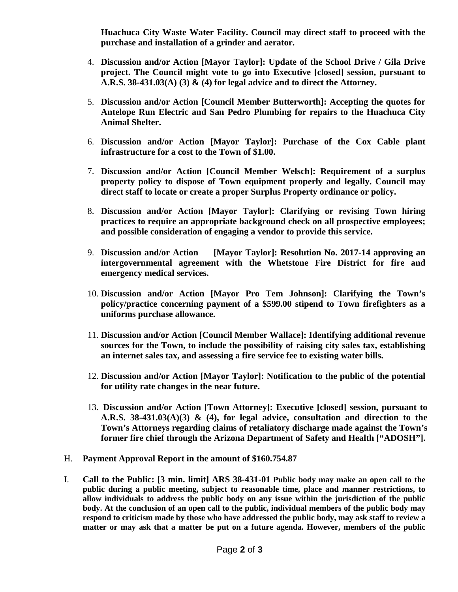**Huachuca City Waste Water Facility. Council may direct staff to proceed with the purchase and installation of a grinder and aerator.** 

- 4. **Discussion and/or Action [Mayor Taylor]: Update of the School Drive / Gila Drive project. The Council might vote to go into Executive [closed] session, pursuant to A.R.S. 38-431.03(A) (3) & (4) for legal advice and to direct the Attorney.**
- 5. **Discussion and/or Action [Council Member Butterworth]: Accepting the quotes for Antelope Run Electric and San Pedro Plumbing for repairs to the Huachuca City Animal Shelter.**
- 6. **Discussion and/or Action [Mayor Taylor]: Purchase of the Cox Cable plant infrastructure for a cost to the Town of \$1.00.**
- 7. **Discussion and/or Action [Council Member Welsch]: Requirement of a surplus property policy to dispose of Town equipment properly and legally. Council may direct staff to locate or create a proper Surplus Property ordinance or policy.**
- 8. **Discussion and/or Action [Mayor Taylor]: Clarifying or revising Town hiring practices to require an appropriate background check on all prospective employees; and possible consideration of engaging a vendor to provide this service.**
- 9. **Discussion and/or Action [Mayor Taylor]: Resolution No. 2017-14 approving an intergovernmental agreement with the Whetstone Fire District for fire and emergency medical services.**
- 10. **Discussion and/or Action [Mayor Pro Tem Johnson]: Clarifying the Town's policy/practice concerning payment of a \$599.00 stipend to Town firefighters as a uniforms purchase allowance.**
- 11. **Discussion and/or Action [Council Member Wallace]: Identifying additional revenue sources for the Town, to include the possibility of raising city sales tax, establishing an internet sales tax, and assessing a fire service fee to existing water bills.**
- 12. **Discussion and/or Action [Mayor Taylor]: Notification to the public of the potential for utility rate changes in the near future.**
- 13. **Discussion and/or Action [Town Attorney]: Executive [closed] session, pursuant to A.R.S. 38-431.03(A)(3) & (4), for legal advice, consultation and direction to the Town's Attorneys regarding claims of retaliatory discharge made against the Town's former fire chief through the Arizona Department of Safety and Health ["ADOSH"].**
- H. **Payment Approval Report in the amount of \$160.754.87**
- I. **Call to the Public: [3 min. limit] ARS 38-431-01 Public body may make an open call to the public during a public meeting, subject to reasonable time, place and manner restrictions, to allow individuals to address the public body on any issue within the jurisdiction of the public body. At the conclusion of an open call to the public, individual members of the public body may respond to criticism made by those who have addressed the public body, may ask staff to review a matter or may ask that a matter be put on a future agenda. However, members of the public**